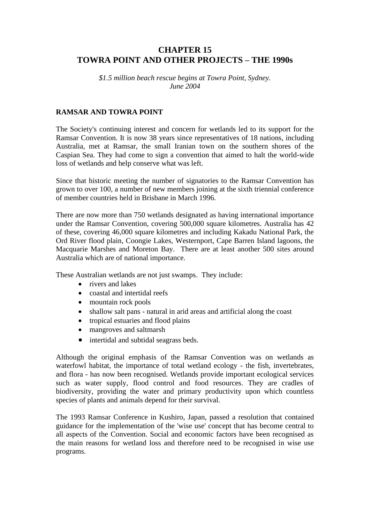# **CHAPTER 15 TOWRA POINT AND OTHER PROJECTS – THE 1990s**

*\$1.5 million beach rescue begins at Towra Point, Sydney. June 2004*

#### **RAMSAR AND TOWRA POINT**

The Society's continuing interest and concern for wetlands led to its support for the Ramsar Convention. It is now 38 years since representatives of 18 nations, including Australia, met at Ramsar, the small Iranian town on the southern shores of the Caspian Sea. They had come to sign a convention that aimed to halt the world-wide loss of wetlands and help conserve what was left.

Since that historic meeting the number of signatories to the Ramsar Convention has grown to over 100, a number of new members joining at the sixth triennial conference of member countries held in Brisbane in March 1996.

There are now more than 750 wetlands designated as having international importance under the Ramsar Convention, covering 500,000 square kilometres. Australia has 42 of these, covering 46,000 square kilometres and including Kakadu National Park, the Ord River flood plain, Coongie Lakes, Westernport, Cape Barren Island lagoons, the Macquarie Marshes and Moreton Bay. There are at least another 500 sites around Australia which are of national importance.

These Australian wetlands are not just swamps. They include:

- rivers and lakes
- coastal and intertidal reefs
- mountain rock pools
- shallow salt pans natural in arid areas and artificial along the coast
- tropical estuaries and flood plains
- mangroves and saltmarsh
- intertidal and subtidal seagrass beds.

Although the original emphasis of the Ramsar Convention was on wetlands as waterfowl habitat, the importance of total wetland ecology - the fish, invertebrates, and flora - has now been recognised. Wetlands provide important ecological services such as water supply, flood control and food resources. They are cradles of biodiversity, providing the water and primary productivity upon which countless species of plants and animals depend for their survival.

The 1993 Ramsar Conference in Kushiro, Japan, passed a resolution that contained guidance for the implementation of the 'wise use' concept that has become central to all aspects of the Convention. Social and economic factors have been recognised as the main reasons for wetland loss and therefore need to be recognised in wise use programs.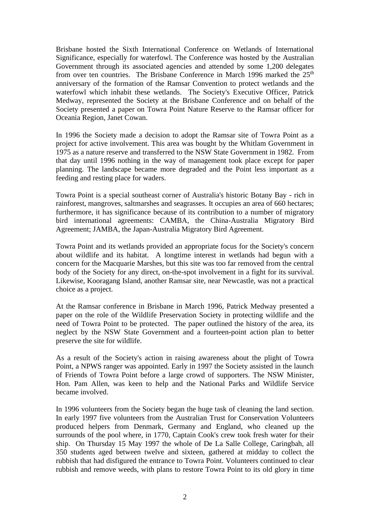Brisbane hosted the Sixth International Conference on Wetlands of International Significance, especially for waterfowl. The Conference was hosted by the Australian Government through its associated agencies and attended by some 1,200 delegates from over ten countries. The Brisbane Conference in March 1996 marked the 25<sup>th</sup> anniversary of the formation of the Ramsar Convention to protect wetlands and the waterfowl which inhabit these wetlands. The Society's Executive Officer, Patrick Medway, represented the Society at the Brisbane Conference and on behalf of the Society presented a paper on Towra Point Nature Reserve to the Ramsar officer for Oceania Region, Janet Cowan.

In 1996 the Society made a decision to adopt the Ramsar site of Towra Point as a project for active involvement. This area was bought by the Whitlam Government in 1975 as a nature reserve and transferred to the NSW State Government in 1982. From that day until 1996 nothing in the way of management took place except for paper planning. The landscape became more degraded and the Point less important as a feeding and resting place for waders.

Towra Point is a special southeast corner of Australia's historic Botany Bay - rich in rainforest, mangroves, saltmarshes and seagrasses. It occupies an area of 660 hectares; furthermore, it has significance because of its contribution to a number of migratory bird international agreements: CAMBA, the China-Australia Migratory Bird Agreement; JAMBA, the Japan-Australia Migratory Bird Agreement.

Towra Point and its wetlands provided an appropriate focus for the Society's concern about wildlife and its habitat. A longtime interest in wetlands had begun with a concern for the Macquarie Marshes, but this site was too far removed from the central body of the Society for any direct, on-the-spot involvement in a fight for its survival. Likewise, Kooragang Island, another Ramsar site, near Newcastle, was not a practical choice as a project.

At the Ramsar conference in Brisbane in March 1996, Patrick Medway presented a paper on the role of the Wildlife Preservation Society in protecting wildlife and the need of Towra Point to be protected. The paper outlined the history of the area, its neglect by the NSW State Government and a fourteen-point action plan to better preserve the site for wildlife.

As a result of the Society's action in raising awareness about the plight of Towra Point, a NPWS ranger was appointed. Early in 1997 the Society assisted in the launch of Friends of Towra Point before a large crowd of supporters. The NSW Minister, Hon. Pam Allen, was keen to help and the National Parks and Wildlife Service became involved.

In 1996 volunteers from the Society began the huge task of cleaning the land section. In early 1997 five volunteers from the Australian Trust for Conservation Volunteers produced helpers from Denmark, Germany and England, who cleaned up the surrounds of the pool where, in 1770, Captain Cook's crew took fresh water for their ship. On Thursday 15 May 1997 the whole of De La Salle College, Caringbah, all 350 students aged between twelve and sixteen, gathered at midday to collect the rubbish that had disfigured the entrance to Towra Point. Volunteers continued to clear rubbish and remove weeds, with plans to restore Towra Point to its old glory in time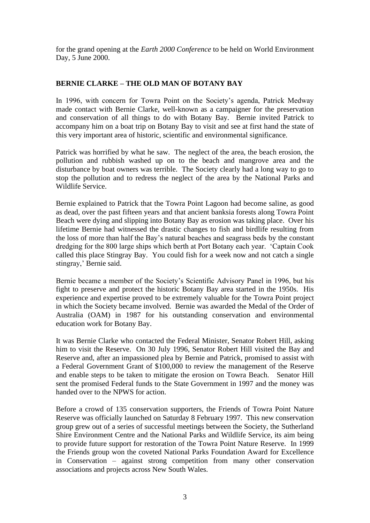for the grand opening at the *Earth 2000 Conference* to be held on World Environment Day, 5 June 2000.

# **BERNIE CLARKE – THE OLD MAN OF BOTANY BAY**

In 1996, with concern for Towra Point on the Society's agenda, Patrick Medway made contact with Bernie Clarke, well-known as a campaigner for the preservation and conservation of all things to do with Botany Bay. Bernie invited Patrick to accompany him on a boat trip on Botany Bay to visit and see at first hand the state of this very important area of historic, scientific and environmental significance.

Patrick was horrified by what he saw. The neglect of the area, the beach erosion, the pollution and rubbish washed up on to the beach and mangrove area and the disturbance by boat owners was terrible. The Society clearly had a long way to go to stop the pollution and to redress the neglect of the area by the National Parks and Wildlife Service.

Bernie explained to Patrick that the Towra Point Lagoon had become saline, as good as dead, over the past fifteen years and that ancient banksia forests along Towra Point Beach were dying and slipping into Botany Bay as erosion was taking place. Over his lifetime Bernie had witnessed the drastic changes to fish and birdlife resulting from the loss of more than half the Bay's natural beaches and seagrass beds by the constant dredging for the 800 large ships which berth at Port Botany each year. 'Captain Cook called this place Stingray Bay. You could fish for a week now and not catch a single stingray,' Bernie said.

Bernie became a member of the Society's Scientific Advisory Panel in 1996, but his fight to preserve and protect the historic Botany Bay area started in the 1950s. His experience and expertise proved to be extremely valuable for the Towra Point project in which the Society became involved. Bernie was awarded the Medal of the Order of Australia (OAM) in 1987 for his outstanding conservation and environmental education work for Botany Bay.

It was Bernie Clarke who contacted the Federal Minister, Senator Robert Hill, asking him to visit the Reserve. On 30 July 1996, Senator Robert Hill visited the Bay and Reserve and, after an impassioned plea by Bernie and Patrick, promised to assist with a Federal Government Grant of \$100,000 to review the management of the Reserve and enable steps to be taken to mitigate the erosion on Towra Beach. Senator Hill sent the promised Federal funds to the State Government in 1997 and the money was handed over to the NPWS for action.

Before a crowd of 135 conservation supporters, the Friends of Towra Point Nature Reserve was officially launched on Saturday 8 February 1997. This new conservation group grew out of a series of successful meetings between the Society, the Sutherland Shire Environment Centre and the National Parks and Wildlife Service, its aim being to provide future support for restoration of the Towra Point Nature Reserve. In 1999 the Friends group won the coveted National Parks Foundation Award for Excellence in Conservation – against strong competition from many other conservation associations and projects across New South Wales.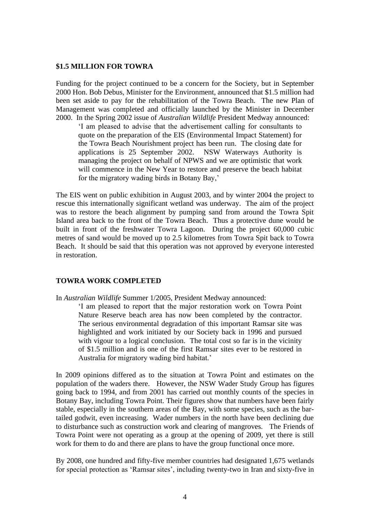#### **\$1.5 MILLION FOR TOWRA**

Funding for the project continued to be a concern for the Society, but in September 2000 Hon. Bob Debus, Minister for the Environment, announced that \$1.5 million had been set aside to pay for the rehabilitation of the Towra Beach. The new Plan of Management was completed and officially launched by the Minister in December 2000. In the Spring 2002 issue of *Australian Wildlife* President Medway announced:

'I am pleased to advise that the advertisement calling for consultants to quote on the preparation of the EIS (Environmental Impact Statement) for the Towra Beach Nourishment project has been run. The closing date for applications is 25 September 2002. NSW Waterways Authority is managing the project on behalf of NPWS and we are optimistic that work will commence in the New Year to restore and preserve the beach habitat for the migratory wading birds in Botany Bay,'

The EIS went on public exhibition in August 2003, and by winter 2004 the project to rescue this internationally significant wetland was underway. The aim of the project was to restore the beach alignment by pumping sand from around the Towra Spit Island area back to the front of the Towra Beach. Thus a protective dune would be built in front of the freshwater Towra Lagoon. During the project 60,000 cubic metres of sand would be moved up to 2.5 kilometres from Towra Spit back to Towra Beach. It should be said that this operation was not approved by everyone interested in restoration.

#### **TOWRA WORK COMPLETED**

In *Australian Wildlife* Summer 1/2005, President Medway announced:

'I am pleased to report that the major restoration work on Towra Point Nature Reserve beach area has now been completed by the contractor. The serious environmental degradation of this important Ramsar site was highlighted and work initiated by our Society back in 1996 and pursued with vigour to a logical conclusion. The total cost so far is in the vicinity of \$1.5 million and is one of the first Ramsar sites ever to be restored in Australia for migratory wading bird habitat.'

In 2009 opinions differed as to the situation at Towra Point and estimates on the population of the waders there. However, the NSW Wader Study Group has figures going back to 1994, and from 2001 has carried out monthly counts of the species in Botany Bay, including Towra Point. Their figures show that numbers have been fairly stable, especially in the southern areas of the Bay, with some species, such as the bartailed godwit, even increasing. Wader numbers in the north have been declining due to disturbance such as construction work and clearing of mangroves. The Friends of Towra Point were not operating as a group at the opening of 2009, yet there is still work for them to do and there are plans to have the group functional once more.

By 2008, one hundred and fifty-five member countries had designated 1,675 wetlands for special protection as 'Ramsar sites', including twenty-two in Iran and sixty-five in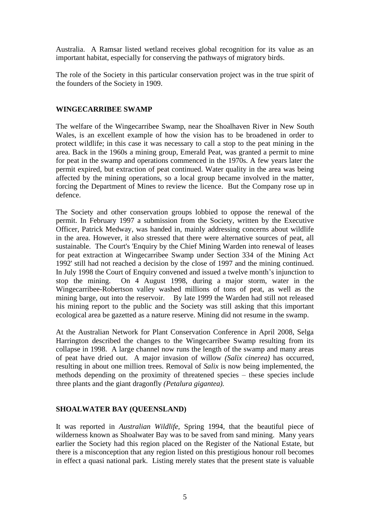Australia. A Ramsar listed wetland receives global recognition for its value as an important habitat, especially for conserving the pathways of migratory birds.

The role of the Society in this particular conservation project was in the true spirit of the founders of the Society in 1909.

#### **WINGECARRIBEE SWAMP**

The welfare of the Wingecarribee Swamp, near the Shoalhaven River in New South Wales, is an excellent example of how the vision has to be broadened in order to protect wildlife; in this case it was necessary to call a stop to the peat mining in the area. Back in the 1960s a mining group, Emerald Peat, was granted a permit to mine for peat in the swamp and operations commenced in the 1970s. A few years later the permit expired, but extraction of peat continued. Water quality in the area was being affected by the mining operations, so a local group became involved in the matter, forcing the Department of Mines to review the licence. But the Company rose up in defence.

The Society and other conservation groups lobbied to oppose the renewal of the permit. In February 1997 a submission from the Society, written by the Executive Officer, Patrick Medway, was handed in, mainly addressing concerns about wildlife in the area. However, it also stressed that there were alternative sources of peat, all sustainable. The Court's 'Enquiry by the Chief Mining Warden into renewal of leases for peat extraction at Wingecarribee Swamp under Section 334 of the Mining Act 1992' still had not reached a decision by the close of 1997 and the mining continued. In July 1998 the Court of Enquiry convened and issued a twelve month's injunction to stop the mining. On 4 August 1998, during a major storm, water in the Wingecarribee-Robertson valley washed millions of tons of peat, as well as the mining barge, out into the reservoir. By late 1999 the Warden had still not released his mining report to the public and the Society was still asking that this important ecological area be gazetted as a nature reserve. Mining did not resume in the swamp.

At the Australian Network for Plant Conservation Conference in April 2008, Selga Harrington described the changes to the Wingecarribee Swamp resulting from its collapse in 1998. A large channel now runs the length of the swamp and many areas of peat have dried out. A major invasion of willow *(Salix cinerea)* has occurred, resulting in about one million trees. Removal of *Salix* is now being implemented, the methods depending on the proximity of threatened species – these species include three plants and the giant dragonfly *(Petalura gigantea).* 

## **SHOALWATER BAY (QUEENSLAND)**

It was reported in *Australian Wildlife,* Spring 1994, that the beautiful piece of wilderness known as Shoalwater Bay was to be saved from sand mining. Many years earlier the Society had this region placed on the Register of the National Estate, but there is a misconception that any region listed on this prestigious honour roll becomes in effect a quasi national park. Listing merely states that the present state is valuable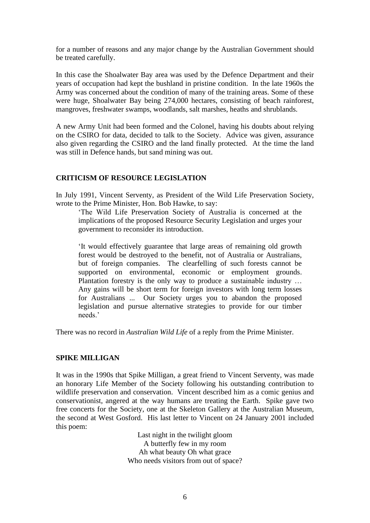for a number of reasons and any major change by the Australian Government should be treated carefully.

In this case the Shoalwater Bay area was used by the Defence Department and their years of occupation had kept the bushland in pristine condition. In the late 1960s the Army was concerned about the condition of many of the training areas. Some of these were huge, Shoalwater Bay being 274,000 hectares, consisting of beach rainforest, mangroves, freshwater swamps, woodlands, salt marshes, heaths and shrublands.

A new Army Unit had been formed and the Colonel, having his doubts about relying on the CSIRO for data, decided to talk to the Society. Advice was given, assurance also given regarding the CSIRO and the land finally protected. At the time the land was still in Defence hands, but sand mining was out.

## **CRITICISM OF RESOURCE LEGISLATION**

In July 1991, Vincent Serventy, as President of the Wild Life Preservation Society, wrote to the Prime Minister, Hon. Bob Hawke, to say:

'The Wild Life Preservation Society of Australia is concerned at the implications of the proposed Resource Security Legislation and urges your government to reconsider its introduction.

'It would effectively guarantee that large areas of remaining old growth forest would be destroyed to the benefit, not of Australia or Australians, but of foreign companies. The clearfelling of such forests cannot be supported on environmental, economic or employment grounds. Plantation forestry is the only way to produce a sustainable industry … Any gains will be short term for foreign investors with long term losses for Australians ... Our Society urges you to abandon the proposed legislation and pursue alternative strategies to provide for our timber needs.'

There was no record in *Australian Wild Life* of a reply from the Prime Minister.

## **SPIKE MILLIGAN**

It was in the 1990s that Spike Milligan, a great friend to Vincent Serventy, was made an honorary Life Member of the Society following his outstanding contribution to wildlife preservation and conservation. Vincent described him as a comic genius and conservationist, angered at the way humans are treating the Earth. Spike gave two free concerts for the Society, one at the Skeleton Gallery at the Australian Museum, the second at West Gosford. His last letter to Vincent on 24 January 2001 included this poem:

> Last night in the twilight gloom A butterfly few in my room Ah what beauty Oh what grace Who needs visitors from out of space?